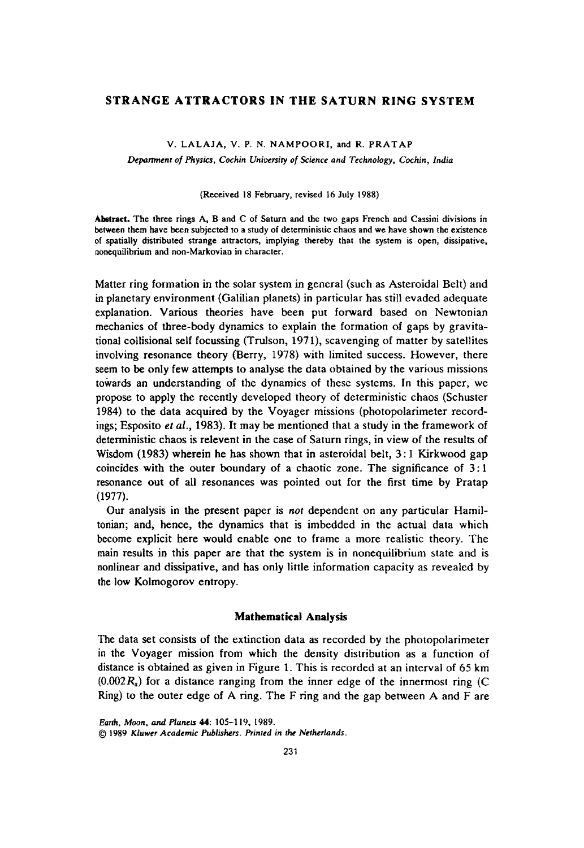# STRANGE ATTRACTORS IN THE SATURN RING SYSTEM

#### V. LALAJA, V. P. N. NAMPOORI, and R. PRATAP

*Department of Physics, Cochin University of Science and Technology, Cochin, India* 

#### (Received 18 February, revised 16 July 1988)

Abstract. The three rings A, Band C of Saturn and the two gaps French and Cassini divisions in between them have been subjected to a study of deterministic chaos and we have shown the existence of spatially distributed strange attractors, implying thereby that the system is open, dissipative, nonequilibrium and non-Markovian in character.

Matter ring formation in the solar system in general (such as Asteroidal Belt) and in planetary environment (Galilian planets) in particular has still evaded adequate explanation. Various theories have been put forward based on Newtonian mechanics of three-body dynamics to explain the formation of gaps by gravitational collisional self focussing (Trulson, 1971), scavenging of matter by satellites involving resonance theory (Berry, 1978) with limited success. However, there seem to be only few attempts to analyse the data obtained by the various missions towards an understanding of the dynamics of these systems. In this paper, we propose to apply the recently developed theory of deterministic chaos (Schuster 1984) to the data acquired by the Voyager missions (photopolarimeter recordings; Esposito *et al.*, 1983). It may be mentioned that a study in the framework of deterministic chaos is relevent in the case of Saturn rings, in view of the results of Wisdom (1983) wherein he has shown that in asteroidal belt, 3: 1 Kirkwood gap coincides with the outer boundary of a chaotic zone. The significance of 3: 1 resonance out of all resonances was pointed out for the first time by Pratap (1977).

Our analysis in the present paper is *not* dependent on any particular Hamiltonian; and, hence, the dynamics that is imbedded in the actual data which become explicit here would enable one to frame a more realistic theory. The main results in this paper are that the system is in nonequilibrium state and is nonlinear and dissipative, and has only little information capacity as revealed by the low Kolmogorov entropy.

### Mathematical Analysis

The data set consists of the extinction data as recorded by the photopolarimeter in the Voyager mission from which the density distribution as a function of distance is obtained as given in Figure 1. This is recorded at an interval of 65 km  $(0.002R<sub>s</sub>)$  for a distance ranging from the inner edge of the innermost ring (C) Ring) to the outer edge of A ring. The F ring and the gap between A and Fare

*EaT/h, Moon,* and *Planets* 44: 105-119, 1989.

<sup>© 1989</sup> *Kluwer Academic Publishers. Prinled in the Netherlands.*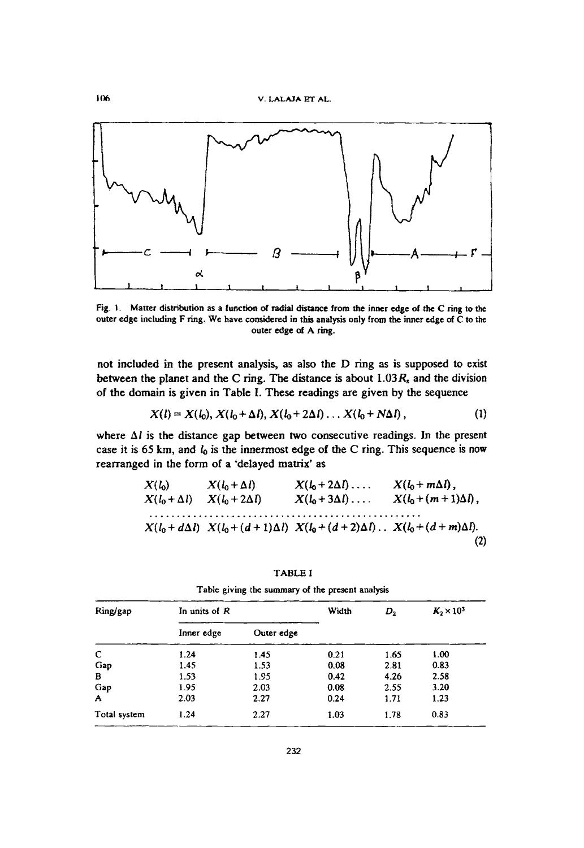

Fig. I. Matter distribution as a function of radial distance from the inner edge of the C ring to the outer edge including F ring. We have considered in this analysis only from the inner edge of C to the outer edge of A ring.

not included in the present analysis, as also the D ring as is supposed to exist between the planet and the C ring. The distance is about  $1.03R$ , and the division of the domain is given in Table I. These readings are given by the sequence

$$
X(l) = X(l_0), X(l_0 + \Delta l), X(l_0 + 2\Delta l), \ldots X(l_0 + N\Delta l), \qquad (1)
$$

where  $\Delta l$  is the distance gap between two consecutive readings. In the present case it is 65 km, and *10* is the innermost edge of the C ring. This sequence is now rearranged in the form of a 'delayed matrix' as

$$
X(l_0) \t X(l_0+\Delta l) \t X(l_0+2\Delta l) \t X(l_0+\Delta l) \t X(l_0+\Delta l) \t X(l_0+\Delta l) \t X(l_0+\Delta l) \t X(l_0+\Delta l) \t X(l_0+(d+1)\Delta l) \t X(l_0+(d+2)\Delta l) \t X(l_0+(d+m)\Delta l).
$$
\n(2)

TABLE I

| Ring/gap     | In units of $R$ |            | Width | $D_{2}$ | $K_2 \times 10^3$ |
|--------------|-----------------|------------|-------|---------|-------------------|
|              | Inner edge      | Outer edge |       |         |                   |
| C            | 1.24            | 1.45       | 0.21  | 1.65    | 1.00              |
| Gap          | 1.45            | 1.53       | 0.08  | 2.81    | 0.83              |
| B            | 1.53            | 1.95       | 0.42  | 4.26    | 2.58              |
| Gap          | 1.95            | 2.03       | 0.08  | 2.55    | 3.20              |
| A            | 2.03            | 2.27       | 0.24  | 1.71    | 1.23              |
| Total system | 1.24            | 2.27       | 1.03  | 1.78    | 0.83              |

Table giving the summary of the present analysis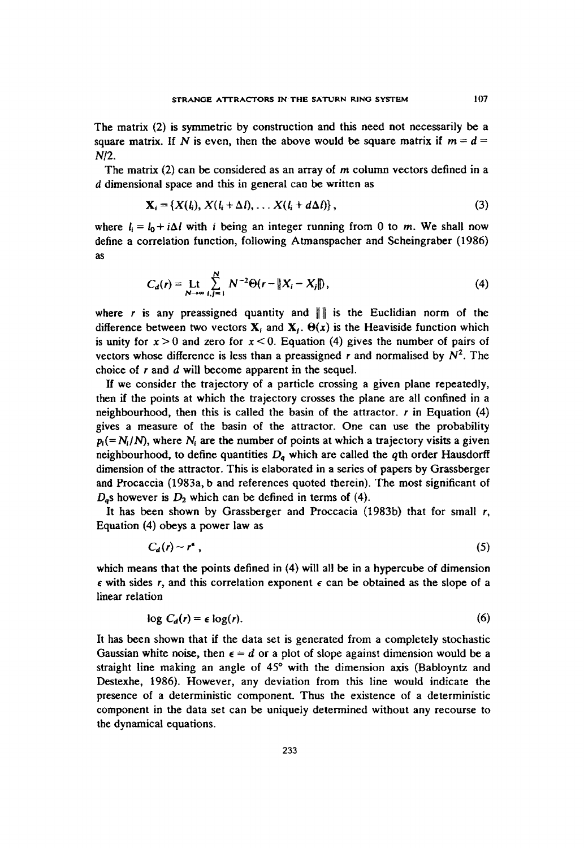The matrix (2) is symmetric by construction and this need not necessarily be a square matrix. If N is even, then the above would be square matrix if  $m = d =$ *N/2.* 

The matrix (2) can be considered as an array of m column vectors defined in a *d* dimensional space and this in general can be written as

$$
\mathbf{X}_i = \{X(l_i), X(l_i + \Delta l), \ldots X(l_i + d\Delta l)\},\tag{3}
$$

where  $l_i = l_0 + i\Delta l$  with *i* being an integer running from 0 to m. We shall now define a correlation function, following Atmanspacher and Scheingraber (1986) as

$$
C_d(r) = \text{Lt} \sum_{N \to \infty}^{N} N^{-2} \Theta(r - ||X_i - X_j||), \tag{4}
$$

where r is any preassigned quantity and  $\| \cdot \|$  is the Euclidian norm of the difference between two vectors  $\mathbf{X}_i$  and  $\mathbf{X}_i$ .  $\Theta(x)$  is the Heaviside function which is unity for  $x > 0$  and zero for  $x < 0$ . Equation (4) gives the number of pairs of vectors whose difference is less than a preassigned r and normalised by  $N^2$ . The choice of rand d will become apparent in the sequel.

If we consider the trajectory of a particle crossing a given plane repeatedly, then if the points at which the trajectory crosses the plane are all confined in a neighbourhood, then this is called the basin of the attractor. *r* in Equation (4) gives a measure of the basin of the attractor. One can use the probability  $p_i (=N_i/N)$ , where N<sub>i</sub> are the number of points at which a trajectory visits a given neighbourhood, to define quantities Dq which are called the *qth* order Hausdorff dimension of the attractor. This is elaborated in a series of papers by Grassberger and Procaccia (1983a, b and references quoted therein). The most significant of  $D<sub>a</sub>$ s however is  $D<sub>2</sub>$  which can be defined in terms of (4).

It has been shown by Grassberger and Proccacia (1983b) that for small *r,*  Equation (4) obeys a power law as

$$
C_d(r) \sim r^{\epsilon} \tag{5}
$$

which means that the points defined in  $(4)$  will all be in a hypercube of dimension  $\epsilon$  with sides r, and this correlation exponent  $\epsilon$  can be obtained as the slope of a linear relation

$$
\log C_d(r) = \epsilon \log(r). \tag{6}
$$

It has been shown that if the data set is generated from a completely stochastic Gaussian white noise, then  $\epsilon = d$  or a plot of slope against dimension would be a straight line making an angle of 45° with the dimension axis (Babloyntz and Destexhe, 1986). However, any deviation from this line would indicate the presence of a deterministic component. Thus the existence of a deterministic component in the data set can be uniquely determined without any recourse to the dynamical equations.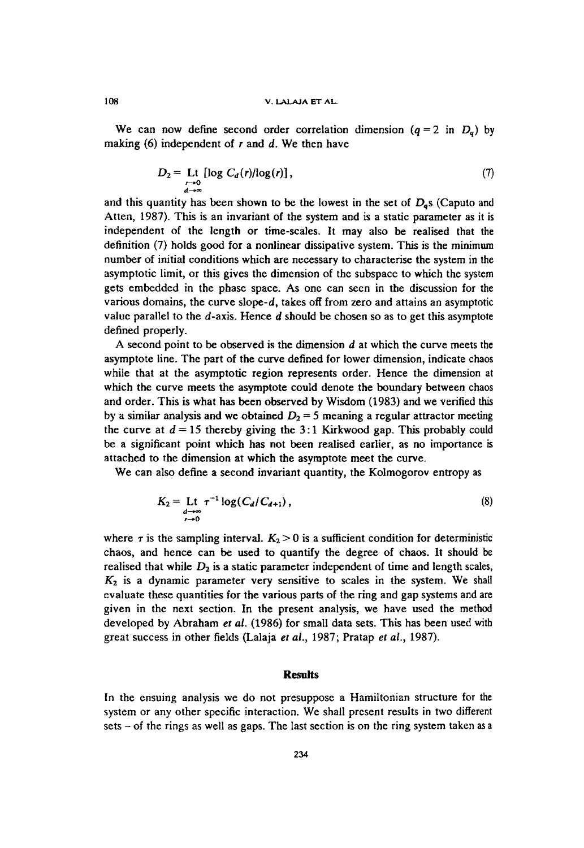We can now define second order correlation dimension  $(q = 2 \text{ in } D_q)$  by making  $(6)$  independent of r and d. We then have

$$
D_2 = \underset{\substack{r \to 0 \\ d \to \infty}}{\text{Lt}} \left[ \log C_d(r) / \log(r) \right],\tag{7}
$$

and this quantity has been shown to be the lowest in the set of  $D_{\alpha}$ s (Caputo and Atten, 1987). This is an invariant of the system and is a static parameter as it is independent of the length or time-scales. It may also be realised that the definition (7) holds good for a nonlincar dissipative system. This is the minimum number of initial conditions which are necessary to characterise the system in the asymptotic limit, or this gives the dimension of the subspace to which the system gets embedded in the phase space. As one can seen in the discussion for the various domains, the curve slope-d, takes off from zero and attains an asymptotic value parallel to the d-axis. Hence *d* should be chosen so as to get this asymptote defined properly.

A second point to be observed is the dimension d at which the curve meets the asymptote line. The part of the curve defined for lower dimension, indicate chaos while that at the asymptotic region represents order. Hence the dimension at which the curve meets the asymptote could denote the boundary between chaos and order. This is what has been observed by Wisdom (1983) and we verified this by a similar analysis and we obtained  $D_2 = 5$  meaning a regular attractor meeting the curve at  $d = 15$  thereby giving the 3:1 Kirkwood gap. This probably could be a significant point which has not been realised earlier, as no importance is attached to the dimension at which the asymptote meet the curve.

We can also define a second invariant quantity, the Kolmogorov entropy as

$$
K_2 = \underset{t \to 0}{\text{Lt}} \ \tau^{-1} \log(C_d/C_{d+1}), \tag{8}
$$

where  $\tau$  is the sampling interval.  $K_2 > 0$  is a sufficient condition for deterministic chaos, and hence can be used to quantify the degree of chaos. It should be realised that while  $D_2$  is a static parameter independent of time and length scales, *K2* is a dynamic parameter very sensitive to scales in the system. We shall evaluate these quantities for the various parts of the ring and gap systems and are given in the next section. In the present analysis, we have used the method developed by Abraham *et al.* (1986) for small data sets. This has been used with great success in other fields (Lalaja *et al.,* 1987; Pratap *et al., 1987).* 

# **Results**

In the ensuing analysis we do not presuppose a Hamiltonian structure for the system or any other specific interaction. We shall present results in two different  $sets - of the rings as well as gaps. The last section is on the ring system taken as a$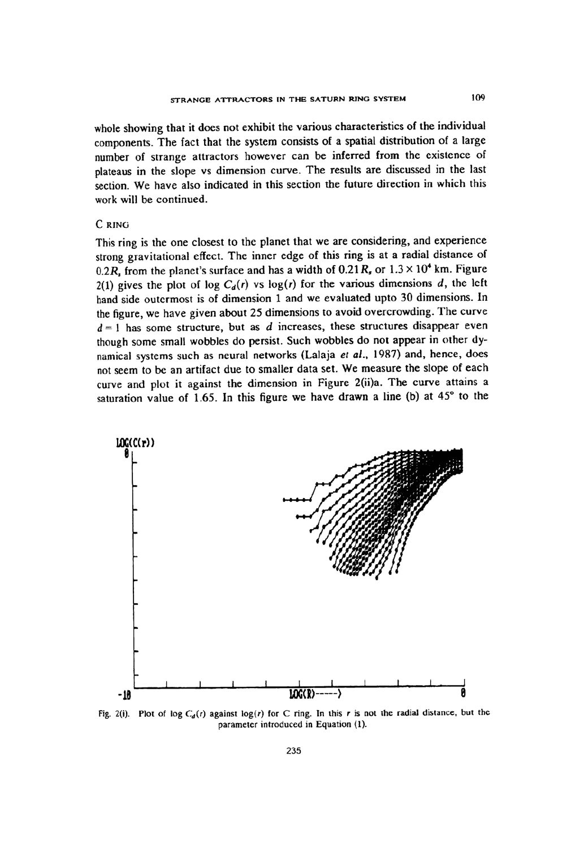whole showing that it does not exhibit the various characteristics of the individual components. The fact that the system consists of a spatial distribution of a large number of strange attractors however can be inferred from the existence of plateaus in the slope vs dimension curve. The results are discussed in the last section. We have also indicated in this section the future direction in which this work will be continued.

# C RING

This ring is the one closest to the planet that we are considering. and experience strong gravitational effect. The inner edge of this ring is at a radial distance of 0.2 $R$ , from the planet's surface and has a width of 0.21 $R$ , or  $1.3 \times 10^4$  km. Figure 2(1) gives the plot of log  $C_d(r)$  vs log(r) for the various dimensions d, the left hand side outermost is of dimension 1 and we evaluated upto 30 dimensions. In the figure, we have given about 25 dimensions to avoid overcrowding. The curvc  $d = 1$  has some structure, but as  $d$  increases, these structures disappear even though some small wobbles do persist. Such wobbles do not appear in other dynamical systems such as neural networks (Lalaja et al., 1987) and, hence, does not seem to be an artifact due to smaller data set. We measure the slope of each curve and plot it against the dimension in Figure 2(ii)a. The curve attains a saturation value of 1.65. In this figure we have drawn a line (b) at  $45^{\circ}$  to the



Fig. 2(i). Plot of log  $C_d(r)$  against log(r) for C ring. In this r is not the radial distance, but the parameter introduced in Equation (1).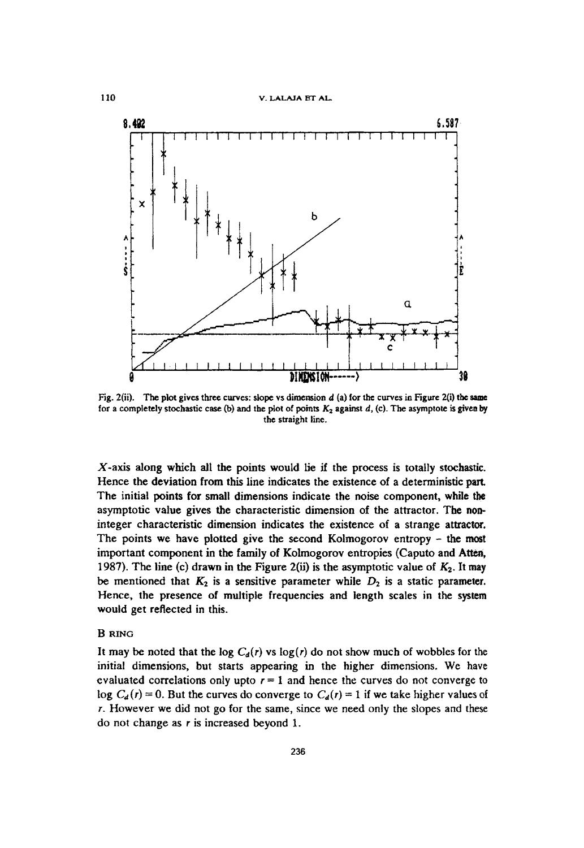#### 110 v. LALAJA ET AI..



Fig. 2(ii). The plot gives three curves: slope vs dimension  $d$  (a) for the curves in Figure 2(i) the same for a completely stochastic case (b) and the plot of points *K2* against d, (c). The asymptote is given by the straight line.

X-axis along which all the points would lie if the process is totally stochastic. Hence the deviation from this line indicates the existence of a deterministic part. The initial points for small dimensions indicate the noise component, while the asymptotic value gives the characteristic dimension of the attractor. The non. integer characteristic dimension indicates the existence of a strange attractor. The points we have plotted give the second Kolmogorov entropy - the most important component in the family of Kolmogorov entropies (Caputo and Atten, 1987). The line (c) drawn in the Figure 2(ii) is the asymptotic value of  $K_2$ . It may be mentioned that  $K_2$  is a sensitive parameter while  $D_2$  is a static parameter. Hence, the presence of multiple frequencies and length scales in the system would get reflected in this.

# BRING

It may be noted that the log  $C_d(r)$  vs log(r) do not show much of wobbles for the initial dimensions, but starts appearing in the higher dimensions. We have evaluated correlations only upto  $r = 1$  and hence the curves do not converge to log  $C_d(r) = 0$ . But the curves do converge to  $C_d(r) = 1$  if we take higher values of r. However we did not go for the same, since we need only the slopes and these do not change as r is increased beyond 1.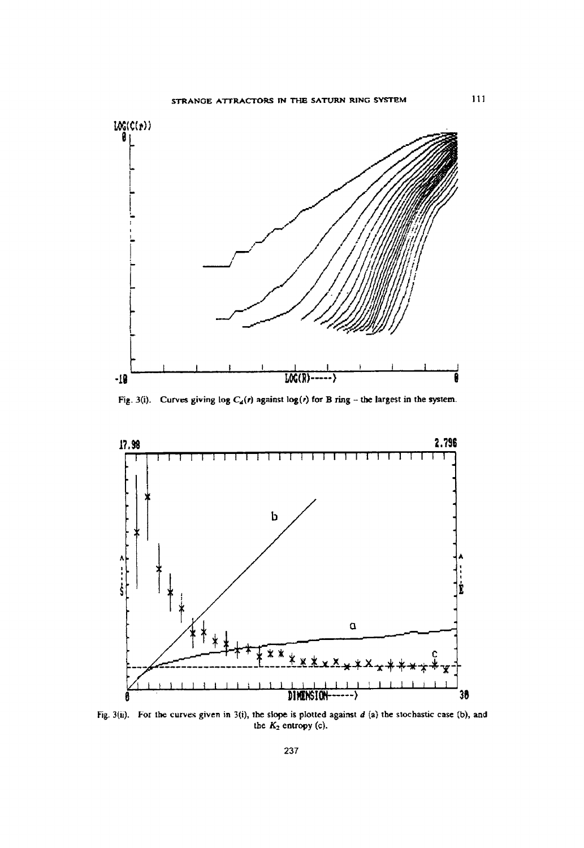

Fig. 3(i). Curves giving log  $C_4(r)$  against log(r) for B ring - the largest in the system.



Fig. 3(ii). For tbe curves given in 3(i), the slope is plotted against *d* (a) the stochastic case (b), and the  $K_2$  entropy (c).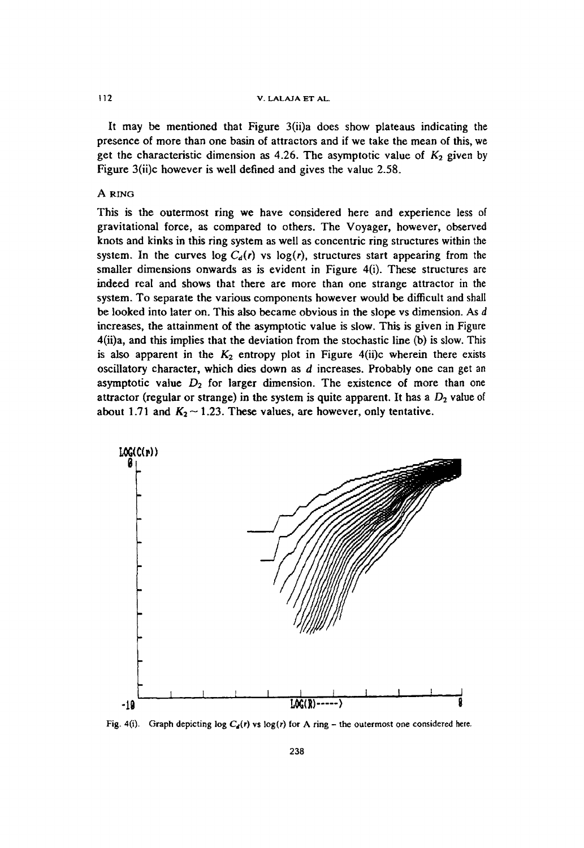### 112 v. LALAJA ET AL.

It may be mentioned that Figure 3(ii)a does show plateaus indicating the presence of more than one basin of attractors and if we take the mean of this, we get the characteristic dimension as 4.26. The asymptotic value of  $K_2$  given by Figure 3(ii)c however is well defined and gives the value 2.58.

# A RING

This is the outermost ring we have considered here and experience less of gravitational force, as compared to others. The Voyager, however, observed knots and kinks in this ring system as well as concentric ring structures within the system. In the curves log  $C_d(r)$  vs log(r), structures start appearing from the smaller dimensions onwards as is evident in Figure 4(i). These structures are indeed real and shows that there are more than one strange attractor in the system. To separate the various components however would be difficult and shall be looked into later on. This also became obvious in the slope vs dimension. As *d*  increases, the attainment of the asymptotic value is slow. This is given in Figure 4(ii)a, and this implies that the deviation from the stochastic line (b) is slow. This is also apparent in the  $K_2$  entropy plot in Figure 4(ii)c wherein there exists oscillatory character, which dies down as *d* increases. Probably one can get an asymptotic value  $D_2$  for larger dimension. The existence of more than one attractor (regular or strange) in the system is quite apparent. It has a  $D_2$  value of about 1.71 and  $K_2 \sim 1.23$ . These values, are however, only tentative.



Fig. 4(i). Graph depicting log  $C_4(r)$  vs log(r) for A ring - the outermost one considered here.

238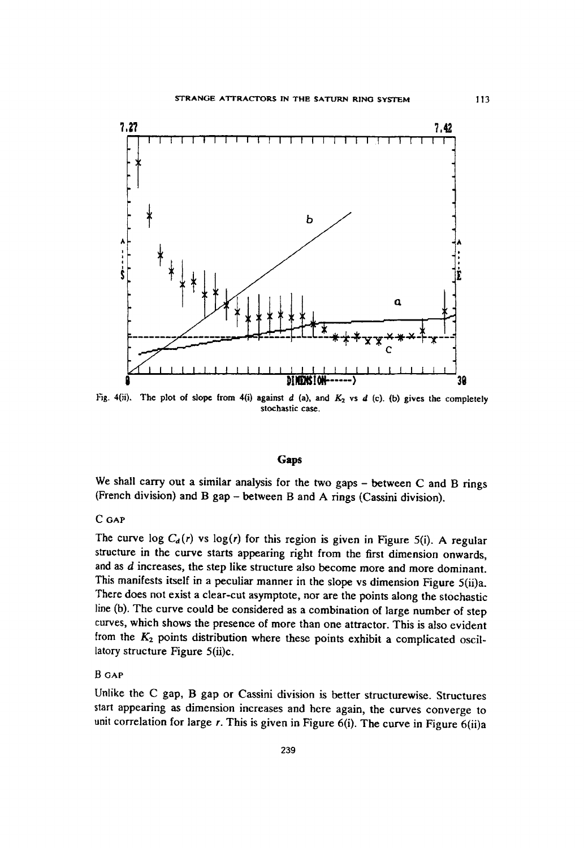

Fig. 4(ii). The plot of slope from 4(i) against  $d$  (a), and  $K_2$  vs  $d$  (c). (b) gives the completely stochastic case.

#### **Gaps**

We shall carry out a similar analysis for the two gaps  $-$  between  $C$  and  $B$  rings (French division) and B gap - between B and A rings (Cassini division).

# C<sub>GAP</sub>

The curve log  $C_d(r)$  vs log(r) for this region is given in Figure 5(i). A regular structure in the curve starts appearing right from the first dimension onwards, and as *d* increases, the step like structure also become more and more dominant. This manifests itself in a peculiar manner in the slope vs dimension Figure 5(ii)a. There does not exist a clear-cut asymptote, nor are the points along the stochastic line (b). The curve could be considered as a combination of large number of step curves, which shows the presence of more than one attractor. This is also evident from the *K2* points distribution where these points exhibit a complicated oscillatory structure Figure 5(ii)c.

# B GAP

Unlike the C gap, B gap or Cassini division is better structurewise. Structures start appearing as dimension increases and here again, the curves converge to unit correlation for large  $r$ . This is given in Figure 6(i). The curve in Figure 6(ii)a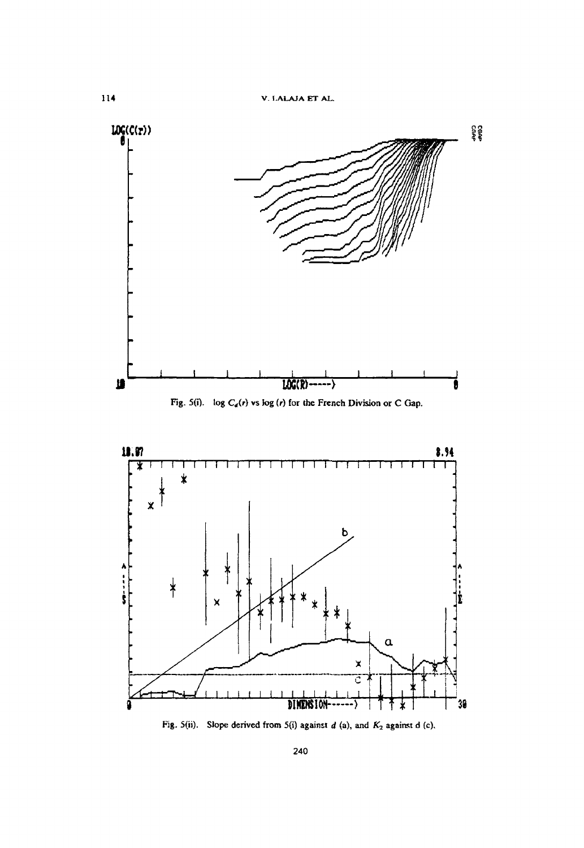

Fig. 5(ii). Slope derived from 5(i) against  $d$  (a), and  $K_2$  against d (c),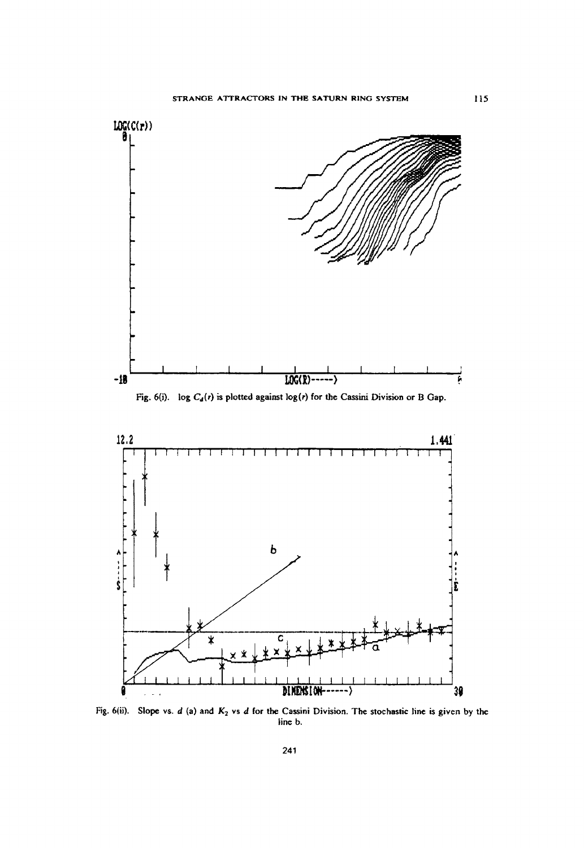

Fig. 6(ii). Slope vs. d (a) and *K2* vs d for the Cassini Division. The slochastic line is given by the line b.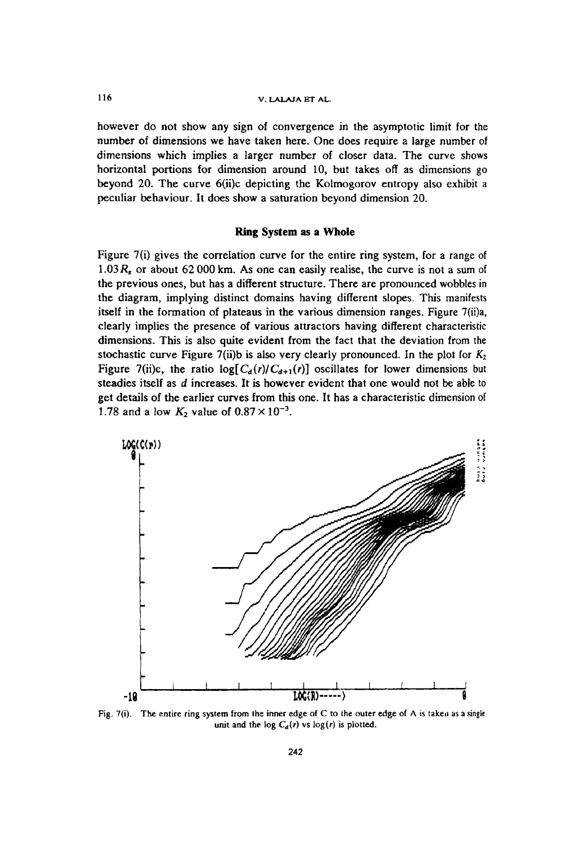# J 16 v. LALA1A ET AL.

however do not show any sign of convergence in the asymptotic limit for the number of dimensions we have taken here. One does require a large number of dimensions which implies a larger number of closer data. The curve shows horizontal portions for dimension around 10, but takes off as dimensions go beyond 20. The curve 6{ii)c depicting the Kolmogorov entropy also exhibit a peculiar behaviour. It does show a saturation beyond dimension 20.

### Ring System as a Whole

Figure 7(i) gives the correlation curve for the entire ring system, for a range of *1.03Rs* or about 62000 km. As one can easily realise, the curve is not a sum of the previous ones, but has a different structure. There are pronounced wobbles in the diagram, implying distinct domains having different slopes. This manifests itself in the formation of plateaus in the various dimension ranges. Figure 7(ii)a, clearly implies the presence of various attractors having different characteristic dimensions. This is also quite evident from the fact that the deviation from the stochastic curve Figure 7(ii)b is also very clearly pronounced. In the plot for  $K_2$ Figure 7(ii)c, the ratio  $\log [C_d(r)/C_{d+1}(r)]$  oscillates for lower dimensions but steadies itself as d increases. It is however evident that one would not be able to get details of the earlier curves from this one. It has a characteristic dimension of 1.78 and a low  $K_2$  value of  $0.87 \times 10^{-3}$ .



Fig.  $7(i)$ . The entire ring system from the inner edge of C to the outer edge of A is taken as a single unit and the log  $C_d(r)$  vs log(r) is plotted.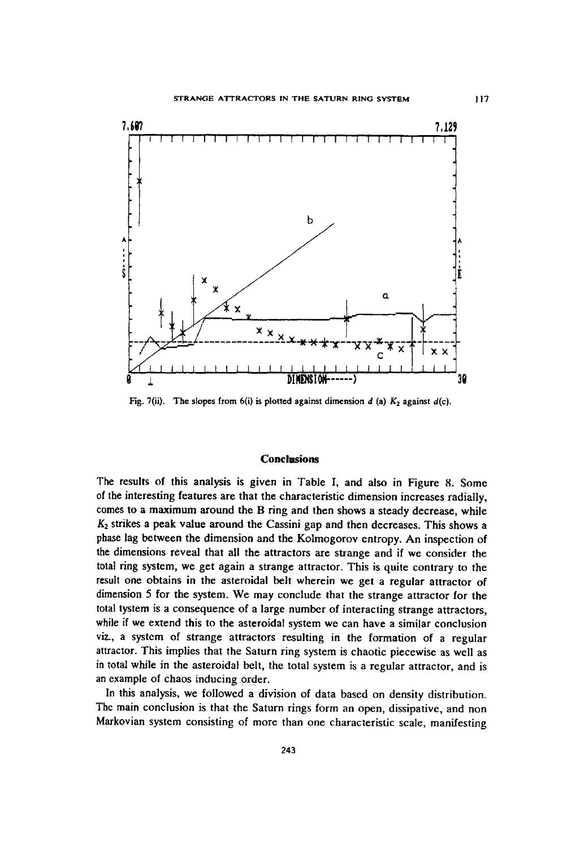

Fig. 7(ii). The slopes from 6(i) is plotted against dimension  $d$  (a)  $K_2$  against  $d(c)$ .

#### **Conclusions**

The results of this analysis is given in Table I, and also in Figure 8. Some of the interesting features are that the characteristic dimension increases radially, comes to a maximum around the B ring and then shows a steady decrease, while *K2* strikes a peak value around the Cassini gap and then decreases. This shows a phase lag between the dimension and the Kolmogorov entropy. An inspection of the dimensions reveal that all the attractors are strange and if we consider the total ring system, we get again a strange attractor. This is quite contrary to the result one obtains in the asteroidal belt wherein we get a regular attractor of dimension 5 for the system. We may conclude that the strange attractor for the total tystem is a consequence of a large number of interacting strange attractors, while if we extend this to the asteroidal system we can have a similar conclusion viz., a system of strange attractors resulting in the formation of a regular attractor. This implies that the Saturn ring system is chaotic piecewise as well as in total while in the asteroidal belt, the total system is a regular attractor, and is an example of chaos inducing order.

In this analysis, we followed a division of data based on density distribution. The main conclusion is that the Saturn rings form an open, dissipative, and non Markovian system consisting of more than one characteristic scale, manifesting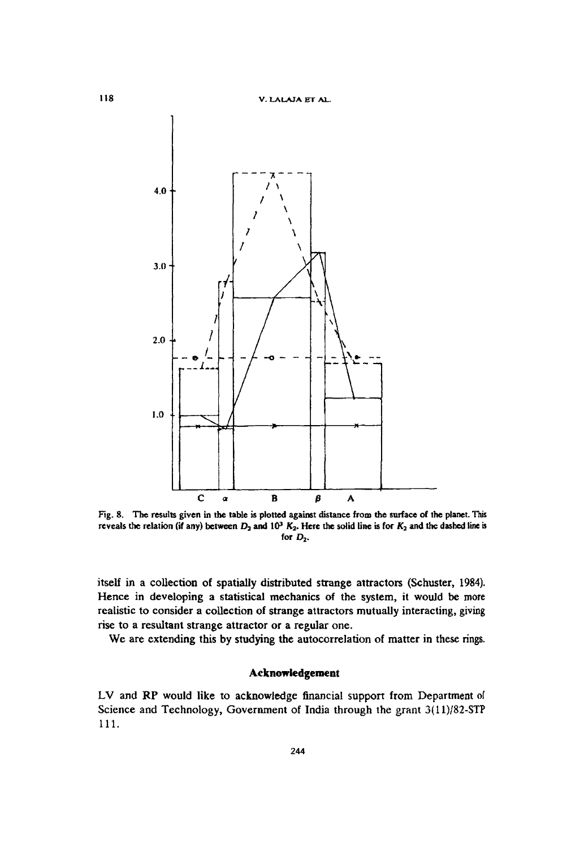

Fig. 8. The results given in the table is plotted against distance from the surface of the planet. This reveals the relation (if any) between  $D_2$  and  $10^3$   $K_2$ . Here the solid line is for  $K_2$  and the dashed line is for  $D_2$ .

itself in a collection of spatially distributed strange attractors (Schuster, 1984). Hence in developing a statistical mechanics of the system, it would be more realistic to consider a collection of strange attractors mutually interacting, giving rise to a resultant strange attractor or a regular one.

We are extending this by studying the autocorrelation of matter in these rings.

# **Acknowledgement**

LV and RP would like to acknowledge financial support from Department of Science and Technology, Government of India through the grant 3(1l)/82-STP 111.